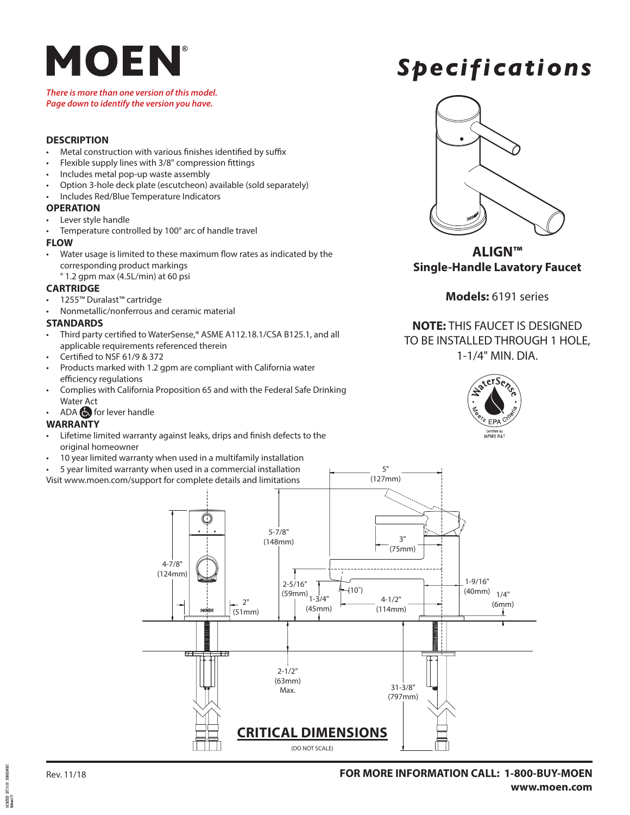

*There is more than one version of this model. Page down to identify the version you have.*

### **DESCRIPTION**

- Metal construction with various finishes identified by suffix
- Flexible supply lines with 3/8" compression fittings
- Includes metal pop-up waste assembly
- Option 3-hole deck plate (escutcheon) available (sold separately)
- Includes Red/Blue Temperature Indicators

### **OPERATION**

- Lever style handle
- Temperature controlled by 100° arc of handle travel

### **FLOW**

- Water usage is limited to these maximum flow rates as indicated by the corresponding product markings
	- ° 1.2 gpm max (4.5L/min) at 60 psi

### **CARTRIDGE**

- 1255™ Duralast™ cartridge
- Nonmetallic/nonferrous and ceramic material

### **STANDARDS**

- Third party certified to WaterSense,® ASME A112.18.1/CSA B125.1, and all applicable requirements referenced therein
- Certified to NSF 61/9 & 372
- Products marked with 1.2 gpm are compliant with California water efficiency regulations
- Complies with California Proposition 65 and with the Federal Safe Drinking Water Act
- ADA  $\bigoplus$  for lever handle

### **WARRANTY**

- Lifetime limited warranty against leaks, drips and finish defects to the original homeowner
- 10 year limited warranty when used in a multifamily installation
- 5 year limited warranty when used in a commercial installation
- Visit www.moen.com/support for complete details and limitations





**ALIGN™ Single-Handle Lavatory Faucet**

**Models:** 6191 series

# **NOTE:** THIS FAUCET IS DESIGNED TO BE INSTALLED THROUGH 1 HOLE, 1-1/4" MIN. DIA.





**POLITIC** 13/34/2020<br>Refereed 05